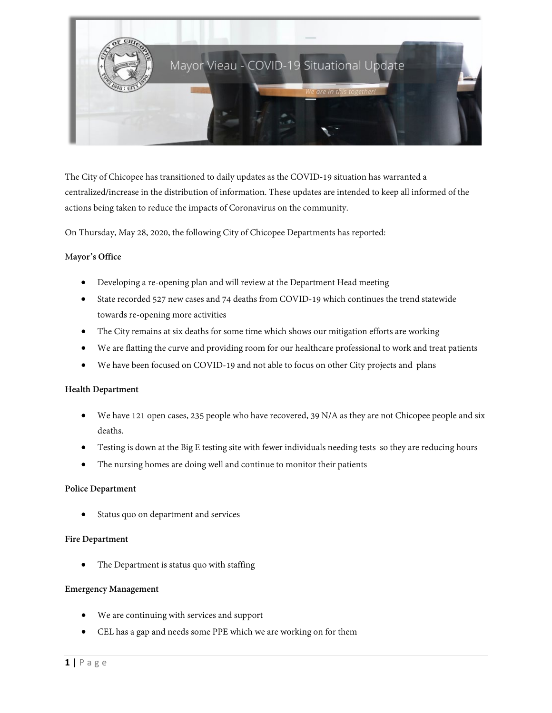

The City of Chicopee has transitioned to daily updates as the COVID-19 situation has warranted a centralized/increase in the distribution of information. These updates are intended to keep all informed of the actions being taken to reduce the impacts of Coronavirus on the community.

On Thursday, May 28, 2020, the following City of Chicopee Departments has reported:

## M**ayor's Office**

- Developing a re-opening plan and will review at the Department Head meeting
- State recorded 527 new cases and 74 deaths from COVID-19 which continues the trend statewide towards re-opening more activities
- The City remains at six deaths for some time which shows our mitigation efforts are working
- We are flatting the curve and providing room for our healthcare professional to work and treat patients
- We have been focused on COVID-19 and not able to focus on other City projects and plans

### **Health Department**

- We have 121 open cases, 235 people who have recovered, 39 N/A as they are not Chicopee people and six deaths.
- Testing is down at the Big E testing site with fewer individuals needing tests so they are reducing hours
- The nursing homes are doing well and continue to monitor their patients

### **Police Department**

Status quo on department and services

### **Fire Department**

The Department is status quo with staffing

## **Emergency Management**

- We are continuing with services and support
- CEL has a gap and needs some PPE which we are working on for them